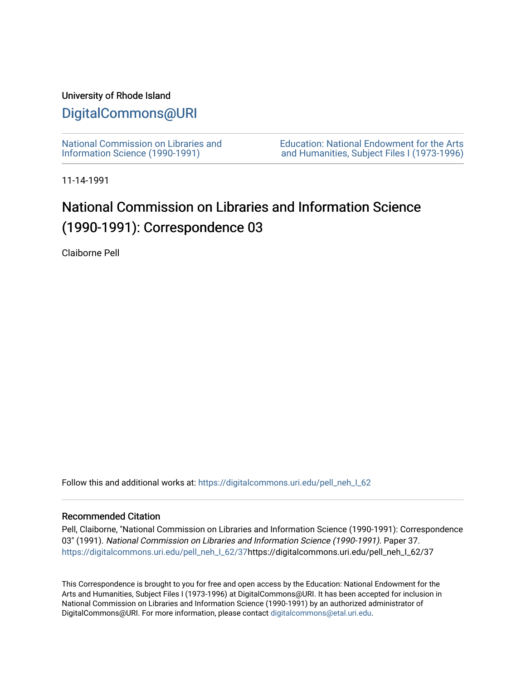### University of Rhode Island

### [DigitalCommons@URI](https://digitalcommons.uri.edu/)

[National Commission on Libraries and](https://digitalcommons.uri.edu/pell_neh_I_62) [Information Science \(1990-1991\)](https://digitalcommons.uri.edu/pell_neh_I_62) 

[Education: National Endowment for the Arts](https://digitalcommons.uri.edu/pell_neh_I)  [and Humanities, Subject Files I \(1973-1996\)](https://digitalcommons.uri.edu/pell_neh_I) 

11-14-1991

## National Commission on Libraries and Information Science (1990-1991): Correspondence 03

Claiborne Pell

Follow this and additional works at: https://digitalcommons.uri.edu/pell\_neh\_I\_62

#### Recommended Citation

Pell, Claiborne, "National Commission on Libraries and Information Science (1990-1991): Correspondence 03" (1991). National Commission on Libraries and Information Science (1990-1991). Paper 37. [https://digitalcommons.uri.edu/pell\\_neh\\_I\\_62/37h](https://digitalcommons.uri.edu/pell_neh_I_62/37?utm_source=digitalcommons.uri.edu%2Fpell_neh_I_62%2F37&utm_medium=PDF&utm_campaign=PDFCoverPages)ttps://digitalcommons.uri.edu/pell\_neh\_I\_62/37

This Correspondence is brought to you for free and open access by the Education: National Endowment for the Arts and Humanities, Subject Files I (1973-1996) at DigitalCommons@URI. It has been accepted for inclusion in National Commission on Libraries and Information Science (1990-1991) by an authorized administrator of DigitalCommons@URI. For more information, please contact [digitalcommons@etal.uri.edu.](mailto:digitalcommons@etal.uri.edu)